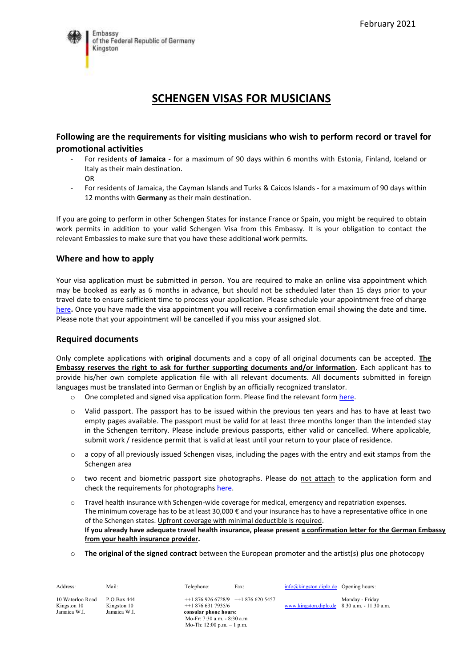

# **SCHENGEN VISAS FOR MUSICIANS**

## **Following are the requirements for visiting musicians who wish to perform record or travel for promotional activities**

- For residents **of Jamaica** for a maximum of 90 days within 6 months with Estonia, Finland, Iceland or Italy as their main destination.
	- OR
- For residents of Jamaica, the Cayman Islands and Turks & Caicos Islands for a maximum of 90 days within 12 months with **Germany** as their main destination.

If you are going to perform in other Schengen States for instance France or Spain, you might be required to obtain work permits in addition to your valid Schengen Visa from this Embassy. It is your obligation to contact the relevant Embassies to make sure that you have these additional work permits.

## **Where and how to apply**

Your visa application must be submitted in person. You are required to make an online visa appointment which may be booked as early as 6 months in advance, but should not be scheduled later than 15 days prior to your travel date to ensure sufficient time to process your application. Please schedule your appointment free of charge [here](https://service.diplo.de/rktermin/extern/choose_realmList.do?locationCode=king&request_locale=en)**.** Once you have made the visa appointment you will receive a confirmation email showing the date and time. Please note that your appointment will be cancelled if you miss your assigned slot.

#### **Required documents**

Only complete applications with **original** documents and a copy of all original documents can be accepted. **The Embassy reserves the right to ask for further supporting documents and/or information**. Each applicant has to provide his/her own complete application file with all relevant documents. All documents submitted in foreign languages must be translated into German or English by an officially recognized translator.

- o One completed and signed visa application form. Please find the relevant form [here.](https://videx.diplo.de/)
- o Valid passport. The passport has to be issued within the previous ten years and has to have at least two empty pages available. The passport must be valid for at least three months longer than the intended stay in the Schengen territory. Please include previous passports, either valid or cancelled. Where applicable, submit work / residence permit that is valid at least until your return to your place of residence.
- o a copy of all previously issued Schengen visas, including the pages with the entry and exit stamps from the Schengen area
- o two recent and biometric passport size photographs. Please do not attach to the application form and check the requirements for photographs [here.](https://www.bundesdruckerei.de/system/files/dokumente/pdf/Fotomustertafel-300dpi.pdf)
- o Travel health insurance with Schengen-wide coverage for medical, emergency and repatriation expenses. The minimum coverage has to be at least 30,000  $\epsilon$  and your insurance has to have a representative office in one of the Schengen states. Upfront coverage with minimal deductible is required. **If you already have adequate travel health insurance, please present a confirmation letter for the German Embassy from your health insurance provider.**
- o **The original of the signed contract** between the European promoter and the artist(s) plus one photocopy

| Address:                                        | Mail:                                      | Telephone:                                                                                                   | Fax: | $\frac{\text{info@kingston.diplo.de}}{\text{Opening hours}}$ |                 |
|-------------------------------------------------|--------------------------------------------|--------------------------------------------------------------------------------------------------------------|------|--------------------------------------------------------------|-----------------|
| 10 Waterloo Road<br>Kingston 10<br>Jamaica W.I. | P.O.Box 444<br>Kingston 10<br>Jamaica W.I. | $+18769266728/9$ $+18766205457$<br>$+18766317935/6$<br>consular phone hours:<br>Mo-Fr: 7:30 a.m. - 8:30 a.m. |      | www.kingston.diplo.de $8.30$ a.m. $-11.30$ a.m.              | Monday - Friday |

Mo-Th: 12:00 p.m. – 1 p.m.